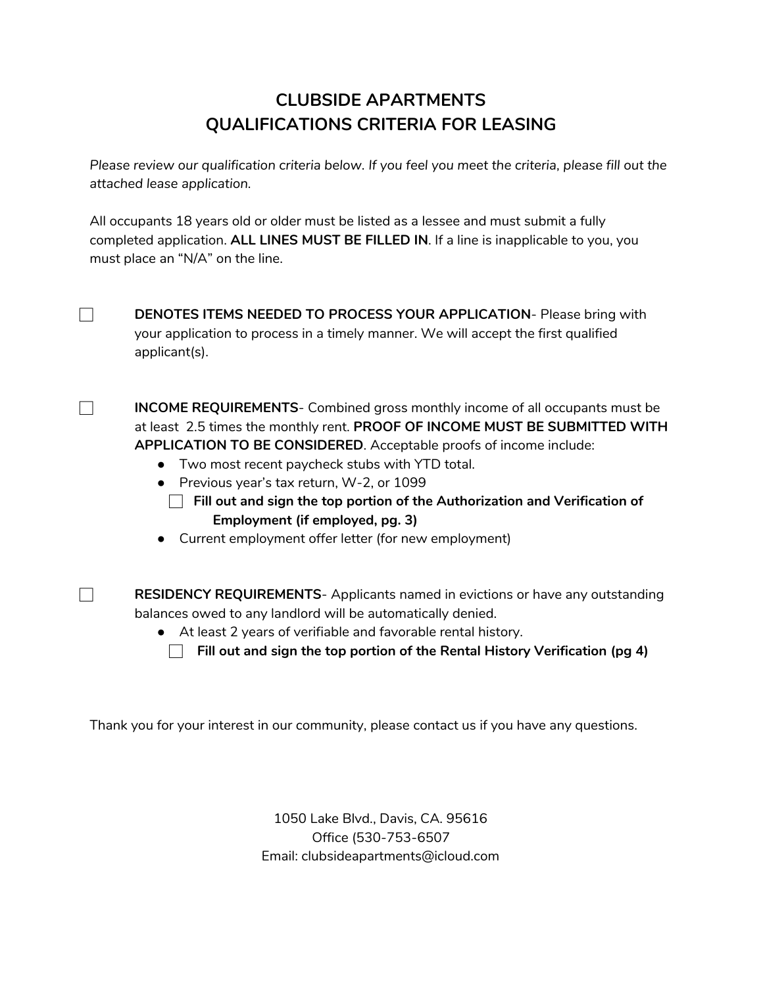# **CLUBSIDE APARTMENTS QUALIFICATIONS CRITERIA FOR LEASING**

*Please review our qualification criteria below. If you feel you meet the criteria, please fill out the attached lease application.*

All occupants 18 years old or older must be listed as a lessee and must submit a fully completed application. **ALL LINES MUST BE FILLED IN**. If a line is inapplicable to you, you must place an "N/A" on the line.

⃞ **DENOTES ITEMS NEEDED TO PROCESS YOUR APPLICATION**- Please bring with your application to process in a timely manner. We will accept the first qualified applicant(s).

⃞ **INCOME REQUIREMENTS**- Combined gross monthly income of all occupants must be at least 2.5 times the monthly rent. **PROOF OF INCOME MUST BE SUBMITTED WITH APPLICATION TO BE CONSIDERED**. Acceptable proofs of income include:

- Two most recent paycheck stubs with YTD total.
- Previous year's tax return, W-2, or 1099
	- ⃞**Fill out and sign the top portion of the Authorization and Verification of Employment (if employed, pg. 3)**
- Current employment offer letter (for new employment)

⃞ **RESIDENCY REQUIREMENTS**- Applicants named in evictions or have any outstanding balances owed to any landlord will be automatically denied.

- At least 2 years of verifiable and favorable rental history.
	- ⃞ **Fill out and sign the top portion of the Rental History Verification (pg 4)**

Thank you for your interest in our community, please contact us if you have any questions.

1050 Lake Blvd., Davis, CA. 95616 Office (530-753-6507 Email: clubsideapartments@icloud.com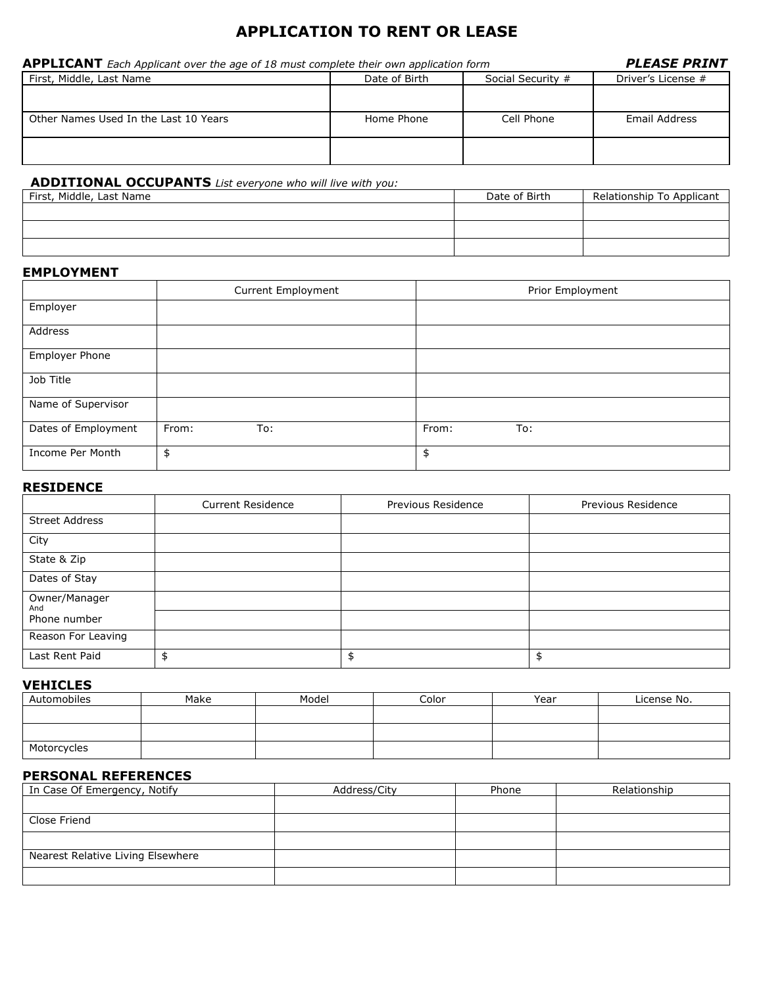# **APPLICATION TO RENT OR LEASE**

| <b>APPLICANT</b> Each Applicant over the age of 18 must complete their own application form | <b>PLEASE PRINT</b> |                   |                    |
|---------------------------------------------------------------------------------------------|---------------------|-------------------|--------------------|
| First, Middle, Last Name                                                                    | Date of Birth       | Social Security # | Driver's License # |
|                                                                                             |                     |                   |                    |
| Other Names Used In the Last 10 Years                                                       | Home Phone          | Cell Phone        | Email Address      |
|                                                                                             |                     |                   |                    |
|                                                                                             |                     |                   |                    |

### **ADDITIONAL OCCUPANTS** *List everyone who will live with you:*

| First, Middle, Last Name | Date of Birth | Relationship To Applicant |
|--------------------------|---------------|---------------------------|
|                          |               |                           |
|                          |               |                           |
|                          |               |                           |

#### **EMPLOYMENT**

|                     | <b>Current Employment</b> | Prior Employment |
|---------------------|---------------------------|------------------|
| Employer            |                           |                  |
| Address             |                           |                  |
| Employer Phone      |                           |                  |
| Job Title           |                           |                  |
| Name of Supervisor  |                           |                  |
| Dates of Employment | From:<br>To:              | From:<br>To:     |
| Income Per Month    | \$                        | \$               |

#### **RESIDENCE**

|                       | <b>Current Residence</b> | Previous Residence | Previous Residence |
|-----------------------|--------------------------|--------------------|--------------------|
| <b>Street Address</b> |                          |                    |                    |
| City                  |                          |                    |                    |
| State & Zip           |                          |                    |                    |
| Dates of Stay         |                          |                    |                    |
| Owner/Manager<br>And  |                          |                    |                    |
| Phone number          |                          |                    |                    |
| Reason For Leaving    |                          |                    |                    |
| Last Rent Paid        |                          | \$                 |                    |

### **VEHICLES**

| Automobiles | Make | Model | Color | Year | License No. |
|-------------|------|-------|-------|------|-------------|
|             |      |       |       |      |             |
|             |      |       |       |      |             |
|             |      |       |       |      |             |
| Motorcycles |      |       |       |      |             |

### **PERSONAL REFERENCES**

| In Case Of Emergency, Notify      | Address/City | Phone | Relationship |
|-----------------------------------|--------------|-------|--------------|
|                                   |              |       |              |
| Close Friend                      |              |       |              |
|                                   |              |       |              |
| Nearest Relative Living Elsewhere |              |       |              |
|                                   |              |       |              |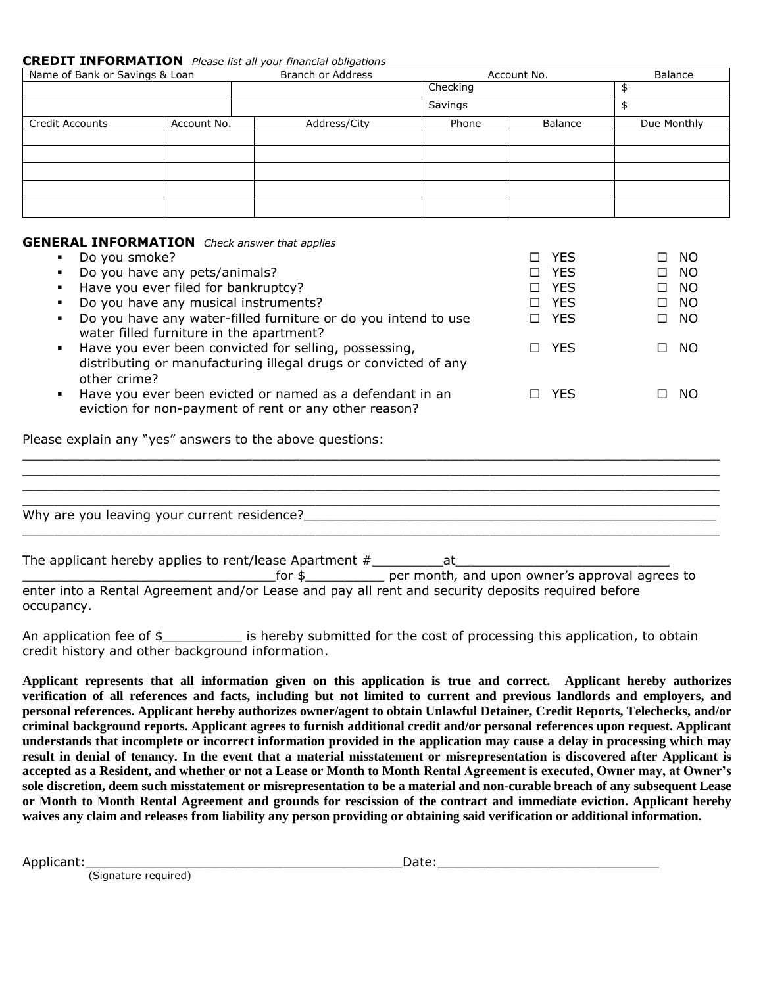#### **CREDIT INFORMATION** *Please list all your financial obligations*

| Name of Bank or Savings & Loan |             | Branch or Address |          | Account No. | Balance     |
|--------------------------------|-------------|-------------------|----------|-------------|-------------|
|                                |             |                   | Checking |             |             |
|                                |             |                   | Savings  |             |             |
| <b>Credit Accounts</b>         | Account No. | Address/City      | Phone    | Balance     | Due Monthly |
|                                |             |                   |          |             |             |
|                                |             |                   |          |             |             |
|                                |             |                   |          |             |             |
|                                |             |                   |          |             |             |
|                                |             |                   |          |             |             |

#### **GENERAL INFORMATION** *Check answer that applies*

| Do you smoke?                                                                                                                                              | <b>YES</b> | - NO<br>П.     |
|------------------------------------------------------------------------------------------------------------------------------------------------------------|------------|----------------|
| Do you have any pets/animals?                                                                                                                              | □ YES      | - NO<br>П.     |
| Have you ever filed for bankruptcy?                                                                                                                        | □ YES      | - NO<br>$\Box$ |
| Do you have any musical instruments?                                                                                                                       | □ YES      | - NO<br>$\Box$ |
| Do you have any water-filled furniture or do you intend to use<br>water filled furniture in the apartment?                                                 | □ YES      | NO.<br>П.      |
| Have you ever been convicted for selling, possessing,<br>$\blacksquare$<br>distributing or manufacturing illegal drugs or convicted of any<br>other crime? | □ YES      | NO.<br>□       |
| Have you ever been evicted or named as a defendant in an<br>eviction for non-payment of rent or any other reason?                                          | □ YES      | - NO<br>П.     |
| Please explain any "yes" answers to the above questions:                                                                                                   |            |                |
|                                                                                                                                                            |            |                |
|                                                                                                                                                            |            |                |
|                                                                                                                                                            |            |                |
| Why are you leaving your current residence?                                                                                                                |            |                |
|                                                                                                                                                            |            |                |

|  |  | The applicant hereby applies to rent/lease Apartment $#$ |  |  |
|--|--|----------------------------------------------------------|--|--|
|--|--|----------------------------------------------------------|--|--|

\_\_\_\_\_\_\_\_\_\_\_\_\_\_\_\_\_\_\_\_\_\_\_\_\_\_\_\_\_\_\_\_for \$\_\_\_\_\_\_\_\_\_\_ per month*,* and upon owner's approval agrees to enter into a Rental Agreement and/or Lease and pay all rent and security deposits required before occupancy.

An application fee of \$\_\_\_\_\_\_\_\_\_\_\_\_ is hereby submitted for the cost of processing this application, to obtain credit history and other background information.

**Applicant represents that all information given on this application is true and correct. Applicant hereby authorizes verification of all references and facts, including but not limited to current and previous landlords and employers, and personal references. Applicant hereby authorizes owner/agent to obtain Unlawful Detainer, Credit Reports, Telechecks, and/or criminal background reports. Applicant agrees to furnish additional credit and/or personal references upon request. Applicant understands that incomplete or incorrect information provided in the application may cause a delay in processing which may result in denial of tenancy. In the event that a material misstatement or misrepresentation is discovered after Applicant is accepted as a Resident, and whether or not a Lease or Month to Month Rental Agreement is executed, Owner may, at Owner's sole discretion, deem such misstatement or misrepresentation to be a material and non-curable breach of any subsequent Lease or Month to Month Rental Agreement and grounds for rescission of the contract and immediate eviction. Applicant hereby waives any claim and releases from liability any person providing or obtaining said verification or additional information.**

Applicant:\_\_\_\_\_\_\_\_\_\_\_\_\_\_\_\_\_\_\_\_\_\_\_\_\_\_\_\_\_\_\_\_\_\_\_\_\_\_\_\_Date:\_\_\_\_\_\_\_\_\_\_\_\_\_\_\_\_\_\_\_\_\_\_\_\_\_\_\_\_

(Signature required)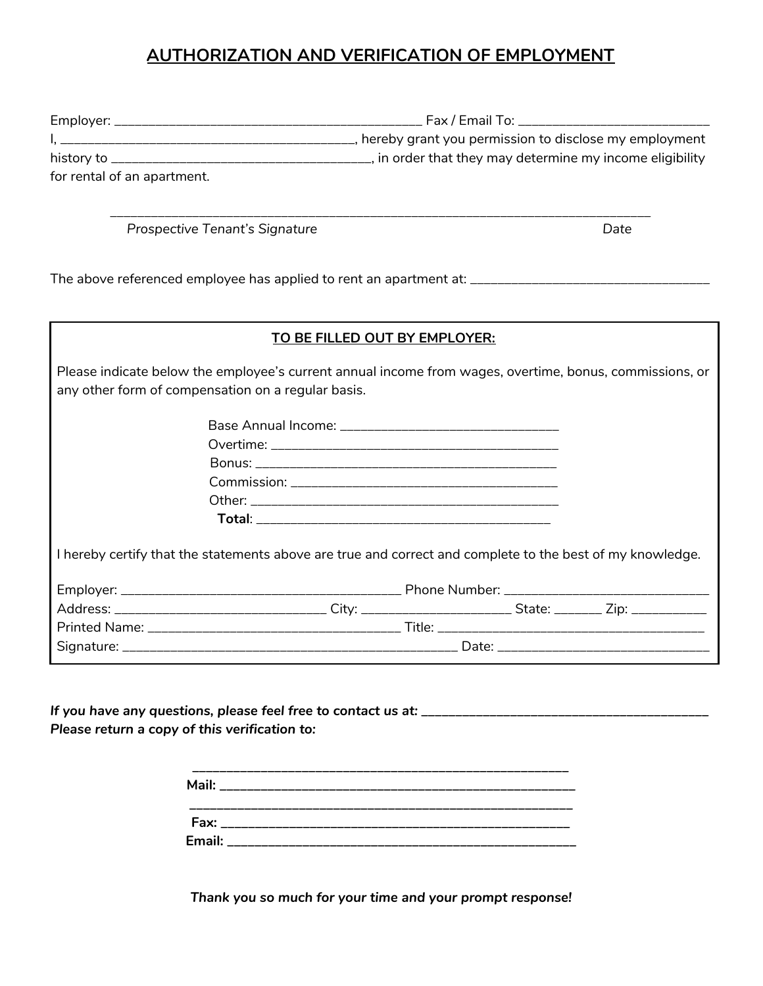# **AUTHORIZATION AND VERIFICATION OF EMPLOYMENT**

|                                  | . Fax / Email To: _____________________________          |
|----------------------------------|----------------------------------------------------------|
|                                  | hereby grant you permission to disclose my employment    |
| history to _____________________ | , in order that they may determine my income eligibility |
| for rental of an apartment.      |                                                          |

\_\_\_\_\_\_\_\_\_\_\_\_\_\_\_\_\_\_\_\_\_\_\_\_\_\_\_\_\_\_\_\_\_\_\_\_\_\_\_\_\_\_\_\_\_\_\_\_\_\_\_\_\_\_\_\_\_\_\_\_\_\_\_\_\_\_\_\_\_\_\_\_\_\_\_\_\_\_\_

*Prospective Tenant's Signature Date*

The above referenced employee has applied to rent an apartment at: \_\_\_\_\_\_\_\_\_\_\_\_\_\_\_\_\_\_\_\_\_\_\_\_\_\_\_\_\_\_\_\_\_\_\_

|                                                    | TO BE FILLED OUT BY EMPLOYER:                                                                             |  |  |
|----------------------------------------------------|-----------------------------------------------------------------------------------------------------------|--|--|
| any other form of compensation on a regular basis. | Please indicate below the employee's current annual income from wages, overtime, bonus, commissions, or   |  |  |
|                                                    |                                                                                                           |  |  |
|                                                    |                                                                                                           |  |  |
|                                                    |                                                                                                           |  |  |
|                                                    |                                                                                                           |  |  |
|                                                    |                                                                                                           |  |  |
|                                                    |                                                                                                           |  |  |
|                                                    | I hereby certify that the statements above are true and correct and complete to the best of my knowledge. |  |  |
|                                                    |                                                                                                           |  |  |
|                                                    |                                                                                                           |  |  |
|                                                    |                                                                                                           |  |  |
|                                                    |                                                                                                           |  |  |
|                                                    |                                                                                                           |  |  |

*If you have any questions, please feel free to contact us at: \_\_\_\_\_\_\_\_\_\_\_\_\_\_\_\_\_\_\_\_\_\_\_\_\_\_\_\_\_\_\_\_\_\_\_\_\_\_\_\_\_\_ Please return a copy of this verification to:*

| Fax: ____________________________ |  |
|-----------------------------------|--|

*Thank you so much for your time and your prompt response!*